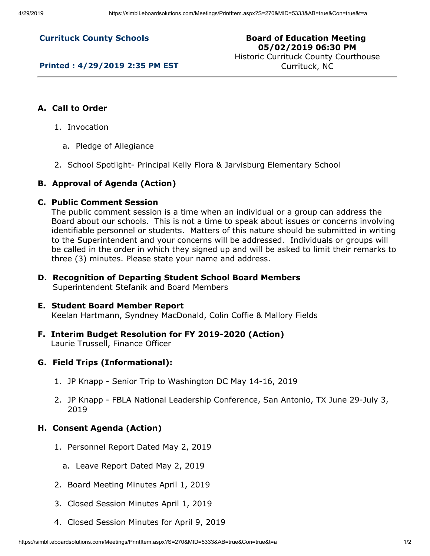**Currituck County Schools**

# **Board of Education Meeting 05/02/2019 06:30 PM**

**Printed : 4/29/2019 2:35 PM EST**

Historic Currituck County Courthouse Currituck, NC

# **A. Call to Order**

- 1. Invocation
	- a. Pledge of Allegiance
- 2. School Spotlight- Principal Kelly Flora & Jarvisburg Elementary School

#### **B. Approval of Agenda (Action)**

#### **C. Public Comment Session**

The public comment session is a time when an individual or a group can address the Board about our schools. This is not a time to speak about issues or concerns involving identifiable personnel or students. Matters of this nature should be submitted in writing to the Superintendent and your concerns will be addressed. Individuals or groups will be called in the order in which they signed up and will be asked to limit their remarks to three (3) minutes. Please state your name and address.

**D. Recognition of Departing Student School Board Members** Superintendent Stefanik and Board Members

# **E. Student Board Member Report**

Keelan Hartmann, Syndney MacDonald, Colin Coffie & Mallory Fields

**F. Interim Budget Resolution for FY 2019-2020 (Action)** Laurie Trussell, Finance Officer

#### **G. Field Trips (Informational):**

- 1. JP Knapp Senior Trip to Washington DC May 14-16, 2019
- 2. JP Knapp FBLA National Leadership Conference, San Antonio, TX June 29-July 3, 2019

#### **H. Consent Agenda (Action)**

- 1. Personnel Report Dated May 2, 2019
	- a. Leave Report Dated May 2, 2019
- 2. Board Meeting Minutes April 1, 2019
- 3. Closed Session Minutes April 1, 2019
- 4. Closed Session Minutes for April 9, 2019